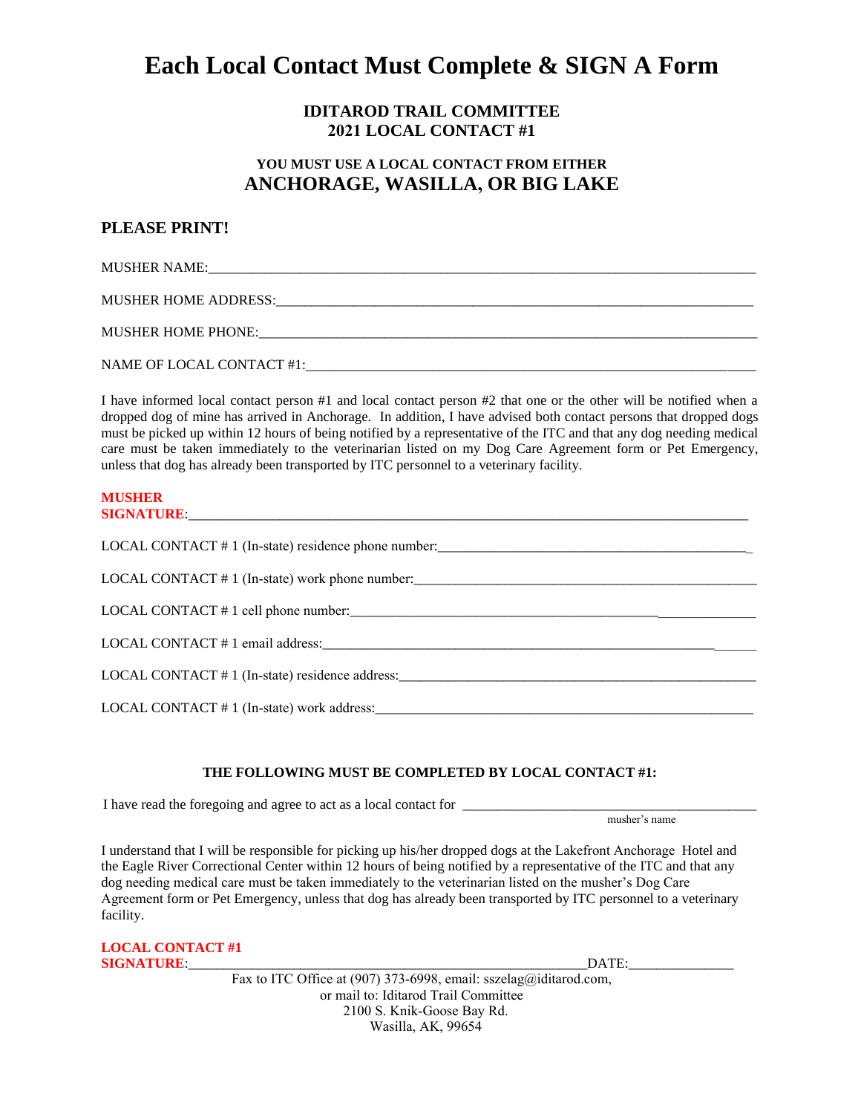# **Each Local Contact Must Complete & SIGN A Form**

### **IDITAROD TRAIL COMMITTEE 2021 LOCAL CONTACT #1**

## **YOU MUST USE A LOCAL CONTACT FROM EITHER ANCHORAGE, WASILLA, OR BIG LAKE**

### **PLEASE PRINT!**

MUSHER NAME:

MUSHER HOME ADDRESS:

MUSHER HOME PHONE:\_\_\_\_\_\_\_\_\_\_\_\_\_\_\_\_\_\_\_\_\_\_\_\_\_\_\_\_\_\_\_\_\_\_\_\_\_\_\_\_\_\_\_\_\_\_\_\_\_\_\_\_\_\_\_\_\_\_\_\_\_\_\_\_\_\_\_\_\_\_\_

NAME OF LOCAL CONTACT #1:\_\_\_\_\_\_\_\_\_\_\_\_\_\_\_\_\_\_\_\_\_\_\_\_\_\_\_\_\_\_\_\_\_\_\_\_\_\_\_\_\_\_\_\_\_\_\_\_\_\_\_\_\_\_\_\_\_\_\_\_\_\_\_\_

I have informed local contact person #1 and local contact person #2 that one or the other will be notified when a dropped dog of mine has arrived in Anchorage. In addition, I have advised both contact persons that dropped dogs must be picked up within 12 hours of being notified by a representative of the ITC and that any dog needing medical care must be taken immediately to the veterinarian listed on my Dog Care Agreement form or Pet Emergency, unless that dog has already been transported by ITC personnel to a veterinary facility.

#### **MUSHER SIGNATURE**:\_\_\_\_\_\_\_\_\_\_\_\_\_\_\_\_\_\_\_\_\_\_\_\_\_\_\_\_\_\_\_\_\_\_\_\_\_\_\_\_\_\_\_\_\_\_\_\_\_\_\_\_\_\_\_\_\_\_\_\_\_\_\_\_\_\_\_\_\_\_\_\_\_\_\_\_\_\_\_\_

| LOCAL CONTACT # 1 (In-state) residence phone number:_____________________________ |  |
|-----------------------------------------------------------------------------------|--|
| LOCAL CONTACT # 1 (In-state) work phone number:                                   |  |
|                                                                                   |  |
|                                                                                   |  |
| LOCAL CONTACT # 1 (In-state) residence address:                                   |  |
| LOCAL CONTACT # 1 (In-state) work address:                                        |  |

### **THE FOLLOWING MUST BE COMPLETED BY LOCAL CONTACT #1:**

I have read the foregoing and agree to act as a local contact for \_\_\_\_\_\_\_\_\_\_\_\_\_\_\_

musher's name

I understand that I will be responsible for picking up his/her dropped dogs at the Lakefront Anchorage Hotel and the Eagle River Correctional Center within 12 hours of being notified by a representative of the ITC and that any dog needing medical care must be taken immediately to the veterinarian listed on the musher's Dog Care Agreement form or Pet Emergency, unless that dog has already been transported by ITC personnel to a veterinary facility.

| <b>LOCAL CONTACT#1</b> |
|------------------------|
| <b>SIGNATURE</b>       |

**SIGNATURE**:\_\_\_\_\_\_\_\_\_\_\_\_\_\_\_\_\_\_\_\_\_\_\_\_\_\_\_\_\_\_\_\_\_\_\_\_\_\_\_\_\_\_\_\_\_\_\_\_\_\_\_\_\_\_\_\_\_DATE:\_\_\_\_\_\_\_\_\_\_\_\_\_\_\_

Fax to ITC Office at (907) 373-6998, email: sszelag@iditarod.com, or mail to: Iditarod Trail Committee 2100 S. Knik-Goose Bay Rd. Wasilla, AK, 99654